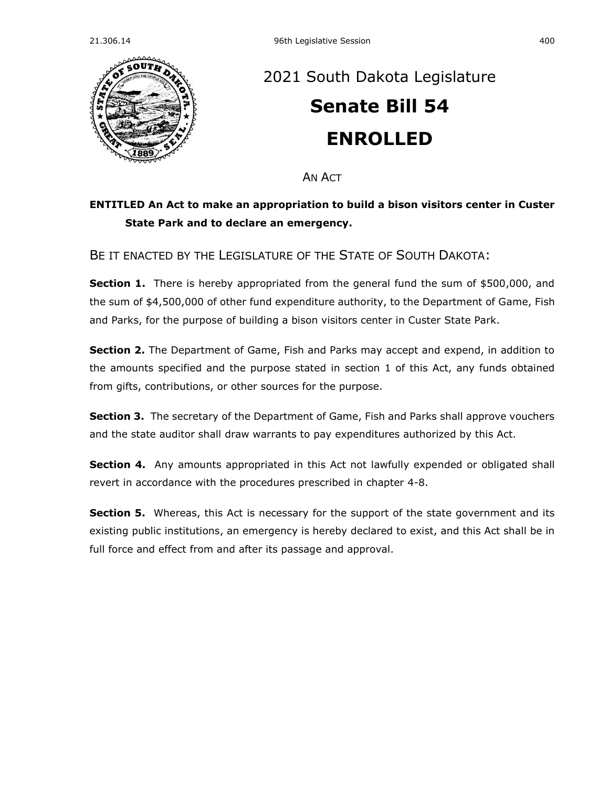

## [2021 South Dakota Legislature](https://sdlegislature.gov/Session/Bills/44) **[Senate Bill 54](https://sdlegislature.gov/Session/Bill/22026) ENROLLED**

AN ACT

## **ENTITLED An Act to make an appropriation to build a bison visitors center in Custer State Park and to declare an emergency.**

BE IT ENACTED BY THE LEGISLATURE OF THE STATE OF SOUTH DAKOTA:

**Section 1.** There is hereby appropriated from the general fund the sum of \$500,000, and the sum of \$4,500,000 of other fund expenditure authority, to the Department of Game, Fish and Parks, for the purpose of building a bison visitors center in Custer State Park.

**Section 2.** The Department of Game, Fish and Parks may accept and expend, in addition to the amounts specified and the purpose stated in section 1 of this Act, any funds obtained from gifts, contributions, or other sources for the purpose.

**Section 3.** The secretary of the Department of Game, Fish and Parks shall approve vouchers and the state auditor shall draw warrants to pay expenditures authorized by this Act.

**Section 4.** Any amounts appropriated in this Act not lawfully expended or obligated shall revert in accordance with the procedures prescribed in chapter [4-8.](https://sdlegislature.gov/Statutes/Codified_Laws/DisplayStatute.aspx?Type=Statute&Statute=4-8)

**Section 5.** Whereas, this Act is necessary for the support of the state government and its existing public institutions, an emergency is hereby declared to exist, and this Act shall be in full force and effect from and after its passage and approval.